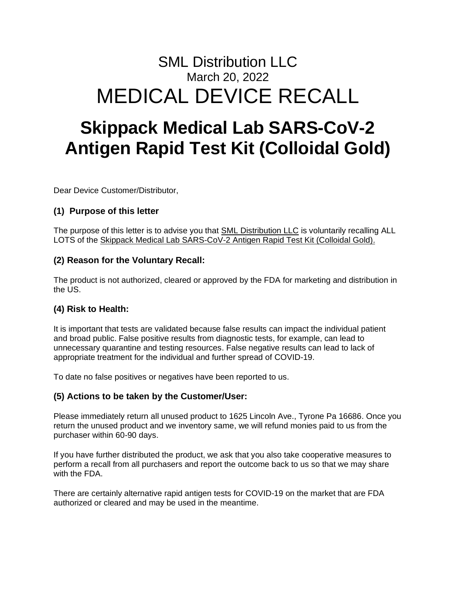# SML Distribution LLC March 20, 2022 MEDICAL DEVICE RECALL

# **Skippack Medical Lab SARS-CoV-2 Antigen Rapid Test Kit (Colloidal Gold)**

Dear Device Customer/Distributor,

# **(1) Purpose of this letter**

The purpose of this letter is to advise you that SML Distribution LLC is voluntarily recalling ALL LOTS of the Skippack Medical Lab SARS-CoV-2 Antigen Rapid Test Kit (Colloidal Gold).

## **(2) Reason for the Voluntary Recall:**

The product is not authorized, cleared or approved by the FDA for marketing and distribution in the US.

#### **(4) Risk to Health:**

It is important that tests are validated because false results can impact the individual patient and broad public. False positive results from diagnostic tests, for example, can lead to unnecessary quarantine and testing resources. False negative results can lead to lack of appropriate treatment for the individual and further spread of COVID-19.

To date no false positives or negatives have been reported to us.

#### **(5) Actions to be taken by the Customer/User:**

Please immediately return all unused product to 1625 Lincoln Ave., Tyrone Pa 16686. Once you return the unused product and we inventory same, we will refund monies paid to us from the purchaser within 60-90 days.

If you have further distributed the product, we ask that you also take cooperative measures to perform a recall from all purchasers and report the outcome back to us so that we may share with the FDA.

There are certainly alternative rapid antigen tests for COVID-19 on the market that are FDA authorized or cleared and may be used in the meantime.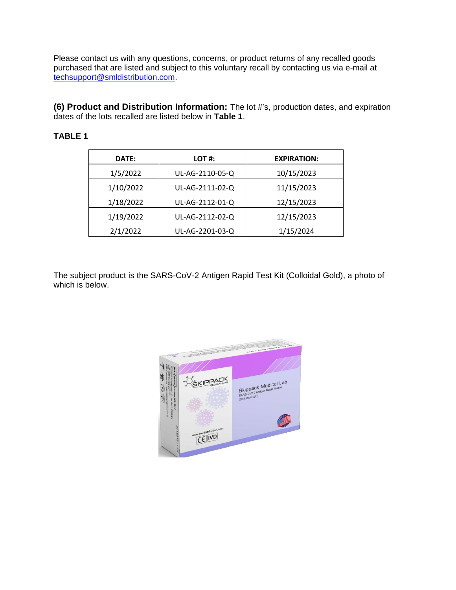Please contact us with any questions, concerns, or product returns of any recalled goods purchased that are listed and subject to this voluntary recall by contacting us via e-mail at [techsupport@smldistribution.com.](mailto:techsupport@smldistribution.com)

**(6) Product and Distribution Information:** The lot #'s, production dates, and expiration dates of the lots recalled are listed below in **Table 1**.

## **TABLE 1**

| DATE:     | LOT #:          | <b>EXPIRATION:</b> |
|-----------|-----------------|--------------------|
| 1/5/2022  | UL-AG-2110-05-Q | 10/15/2023         |
| 1/10/2022 | UL-AG-2111-02-Q | 11/15/2023         |
| 1/18/2022 | UL-AG-2112-01-Q | 12/15/2023         |
| 1/19/2022 | UL-AG-2112-02-Q | 12/15/2023         |
| 2/1/2022  | UL-AG-2201-03-Q | 1/15/2024          |

The subject product is the SARS-CoV-2 Antigen Rapid Test Kit (Colloidal Gold), a photo of which is below.